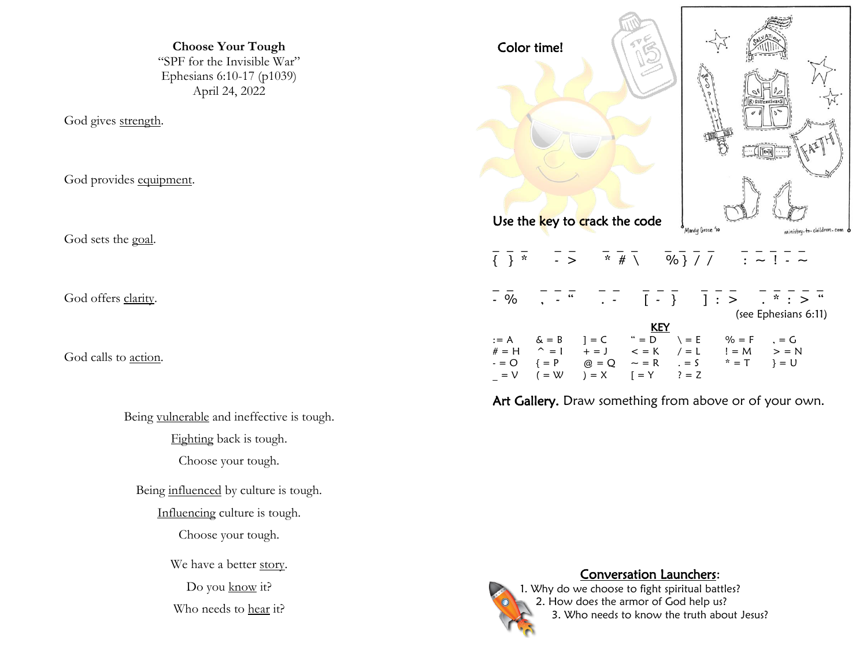**Choose Your Tough** "SPF for the Invisible War" Ephesians 6:10-17 (p1039) April 24, 2022

God gives strength.

God provides equipment.

God sets the goal.

God offers clarity.

God calls to action.

Being vulnerable and ineffective is tough.

Fighting back is tough.

Choose your tough.

Being influenced by culture is tough.

Influencing culture is tough.

Choose your tough.

We have a better story.

Do you know it?

Who needs to hear it?

| Color time!                                                                                                                                                                                                                                                               | Mandy Groce '10                                                                                                                                                                                                                                                                                                     |
|---------------------------------------------------------------------------------------------------------------------------------------------------------------------------------------------------------------------------------------------------------------------------|---------------------------------------------------------------------------------------------------------------------------------------------------------------------------------------------------------------------------------------------------------------------------------------------------------------------|
| Use the key to crack the code                                                                                                                                                                                                                                             | ministry-to-children.com                                                                                                                                                                                                                                                                                            |
| $\frac{1}{3}$ $\frac{1}{2}$ $\frac{1}{3}$ $\frac{1}{2}$ $\frac{1}{2}$ $\frac{1}{3}$ $\frac{1}{4}$ $\frac{1}{2}$ $\frac{1}{2}$ $\frac{1}{2}$ $\frac{1}{2}$ $\frac{1}{2}$ $\frac{1}{2}$ $\frac{1}{2}$ $\frac{1}{2}$ $\frac{1}{2}$ $\frac{1}{2}$ $\frac{1}{2}$ $\frac{1}{2}$ |                                                                                                                                                                                                                                                                                                                     |
| $\frac{1}{2}$ %                                                                                                                                                                                                                                                           | $\frac{1}{2}$ $\frac{1}{2}$ $\frac{1}{2}$ $\frac{1}{2}$ $\frac{1}{2}$ $\frac{1}{2}$ $\frac{1}{2}$ $\frac{1}{2}$ $\frac{1}{2}$ $\frac{1}{2}$ $\frac{1}{2}$ $\frac{1}{2}$ $\frac{1}{2}$ $\frac{1}{2}$ $\frac{1}{2}$ $\frac{1}{2}$ $\frac{1}{2}$ $\frac{1}{2}$ $\frac{1}{2}$ $\frac{1}{2}$ $\frac{1}{2}$ $\frac{1}{2}$ |
| 66                                                                                                                                                                                                                                                                        | (see Ephesians 6:11)                                                                                                                                                                                                                                                                                                |
| <b>KEY</b><br>$# = H$ ^ = 1 + = J < = K / = L<br>$- = 0$ {= P @ = Q ~ = R $= 5$ * = T } = U<br>$(=\mathsf{W}$ $)=\mathsf{X}$ $[=\mathsf{Y}$ $]=\mathsf{Z}$<br>$=$ $\vee$                                                                                                  | $!= M$ $> = N$                                                                                                                                                                                                                                                                                                      |

Art Gallery. Draw something from above or of your own.



## Conversation Launchers:

1. Why do we choose to fight spiritual battles? 2. How does the armor of God help us? 3. Who needs to know the truth about Jesus?